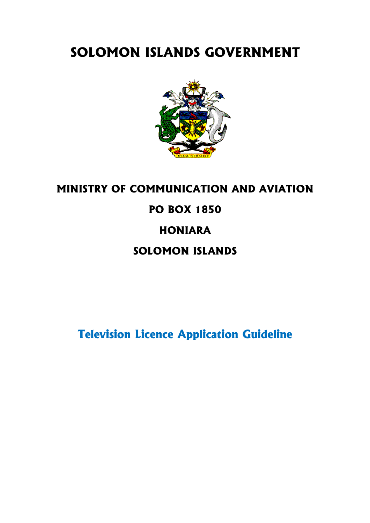# **SOLOMON ISLANDS GOVERNMENT**



# **MINISTRY OF COMMUNICATION AND AVIATION PO BOX 1850 HONIARA SOLOMON ISLANDS**

**Television Licence Application Guideline**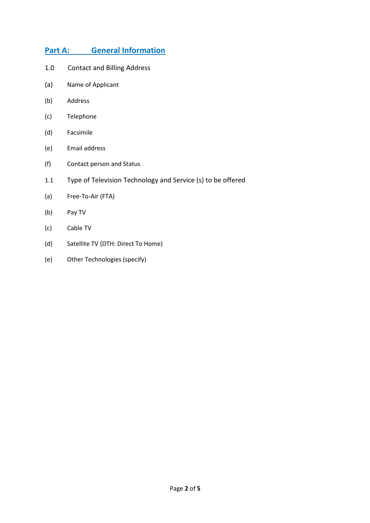# **Part A: General Information**

- 1.0 Contact and Billing Address
- (a) Name of Applicant
- (b) Address
- (c) Telephone
- (d) Facsimile
- (e) Email address
- (f) Contact person and Status
- 1.1 Type of Television Technology and Service (s) to be offered
- (a) Free-To-Air (FTA)
- (b) Pay TV
- (c) Cable TV
- (d) Satellite TV (DTH: Direct To Home)
- (e) Other Technologies (specify)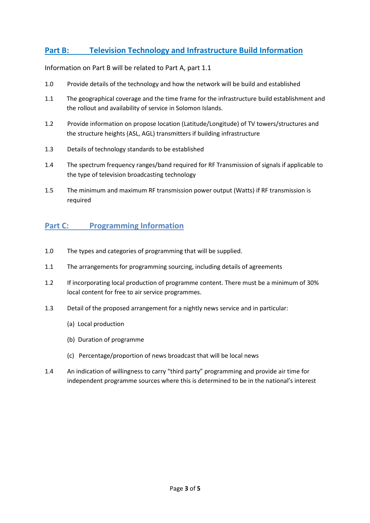# **Part B: Television Technology and Infrastructure Build Information**

Information on Part B will be related to Part A, part 1.1

- 1.0 Provide details of the technology and how the network will be build and established
- 1.1 The geographical coverage and the time frame for the infrastructure build establishment and the rollout and availability of service in Solomon Islands.
- 1.2 Provide information on propose location (Latitude/Longitude) of TV towers/structures and the structure heights (ASL, AGL) transmitters if building infrastructure
- 1.3 Details of technology standards to be established
- 1.4 The spectrum frequency ranges/band required for RF Transmission of signals if applicable to the type of television broadcasting technology
- 1.5 The minimum and maximum RF transmission power output (Watts) if RF transmission is required

# **Part C: Programming Information**

- 1.0 The types and categories of programming that will be supplied.
- 1.1 The arrangements for programming sourcing, including details of agreements
- 1.2 If incorporating local production of programme content. There must be a minimum of 30% local content for free to air service programmes.
- 1.3 Detail of the proposed arrangement for a nightly news service and in particular:
	- (a) Local production
	- (b) Duration of programme
	- (c) Percentage/proportion of news broadcast that will be local news
- 1.4 An indication of willingness to carry "third party" programming and provide air time for independent programme sources where this is determined to be in the national's interest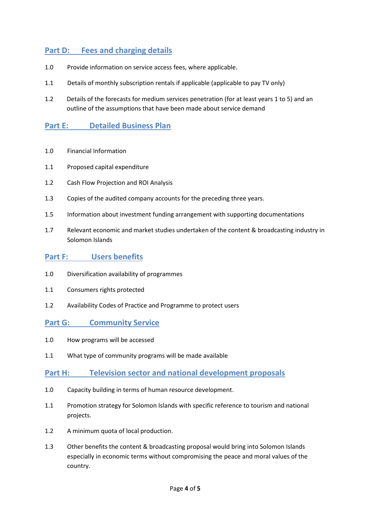# **Part D: Fees and charging details**

- 1.0 Provide information on service access fees, where applicable.
- 1.1 Details of monthly subscription rentals if applicable (applicable to pay TV only)
- 1.2 Details of the forecasts for medium services penetration (for at least years 1 to 5) and an outline of the assumptions that have been made about service demand

## **Part E: Detailed Business Plan**

- 1.0 Financial Information
- 1.1 Proposed capital expenditure
- 1.2 Cash Flow Projection and ROI Analysis
- 1.3 Copies of the audited company accounts for the preceding three years.
- 1.5 Information about investment funding arrangement with supporting documentations
- 1.7 Relevant economic and market studies undertaken of the content & broadcasting industry in Solomon Islands

#### **Part F: Users benefits**

- 1.0 Diversification availability of programmes
- 1.1 Consumers rights protected
- 1.2 Availability Codes of Practice and Programme to protect users

#### **Part G:** Community Service

- 1.0 How programs will be accessed
- 1.1 What type of community programs will be made available

#### **Part H: Television sector and national development proposals**

- 1.0 Capacity building in terms of human resource development.
- 1.1 Promotion strategy for Solomon Islands with specific reference to tourism and national projects.
- 1.2 A minimum quota of local production.
- 1.3 Other benefits the content & broadcasting proposal would bring into Solomon Islands especially in economic terms without compromising the peace and moral values of the country.